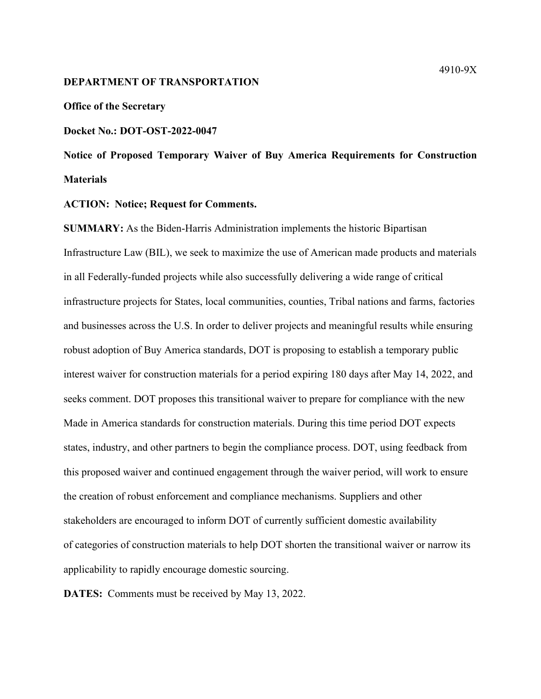#### **DEPARTMENT OF TRANSPORTATION**

### **Office of the Secretary**

## **Docket No.: DOT-OST-2022-0047**

**Notice of Proposed Temporary Waiver of Buy America Requirements for Construction Materials** 

### **ACTION: Notice; Request for Comments.**

**SUMMARY:** As the Biden-Harris Administration implements the historic Bipartisan Infrastructure Law (BIL), we seek to maximize the use of American made products and materials in all Federally-funded projects while also successfully delivering a wide range of critical infrastructure projects for States, local communities, counties, Tribal nations and farms, factories and businesses across the U.S. In order to deliver projects and meaningful results while ensuring robust adoption of Buy America standards, DOT is proposing to establish a temporary public interest waiver for construction materials for a period expiring 180 days after May 14, 2022, and seeks comment. DOT proposes this transitional waiver to prepare for compliance with the new Made in America standards for construction materials. During this time period DOT expects states, industry, and other partners to begin the compliance process. DOT, using feedback from this proposed waiver and continued engagement through the waiver period, will work to ensure the creation of robust enforcement and compliance mechanisms. Suppliers and other stakeholders are encouraged to inform DOT of currently sufficient domestic availability of categories of construction materials to help DOT shorten the transitional waiver or narrow its applicability to rapidly encourage domestic sourcing.

**DATES:** Comments must be received by May 13, 2022.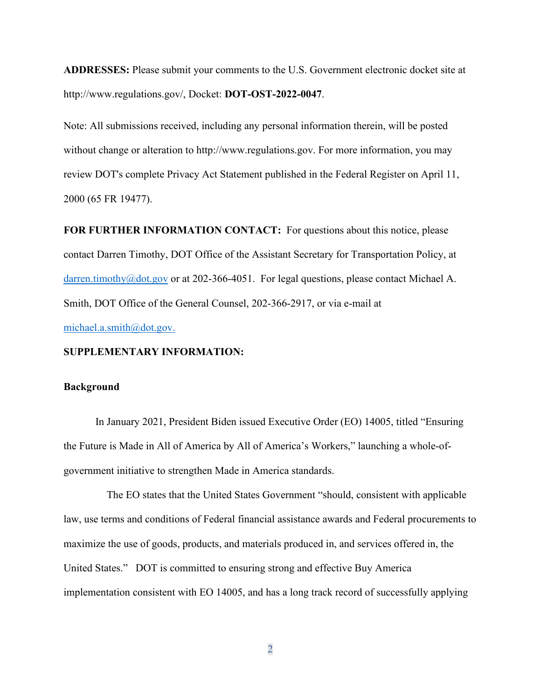**ADDRESSES:** Please submit your comments to the U.S. Government electronic docket site at http://www.regulations.gov/, Docket: **DOT-OST-2022-0047**.

Note: All submissions received, including any personal information therein, will be posted without change or alteration to http://www.regulations.gov. For more information, you may review DOT's complete Privacy Act Statement published in the Federal Register on April 11, 2000 (65 FR 19477).

**FOR FURTHER INFORMATION CONTACT:** For questions about this notice, please contact Darren Timothy, DOT Office of the Assistant Secretary for Transportation Policy, at darren.timothy@dot.gov or at 202-366-4051. For legal questions, please contact Michael A. Smith, DOT Office of the General Counsel, 202-366-2917, or via e-mail at michael.a.smith@dot.gov.

## **SUPPLEMENTARY INFORMATION:**

#### **Background**

In January 2021, President Biden issued Executive Order (EO) 14005, titled "Ensuring the Future is Made in All of America by All of America's Workers," launching a whole-ofgovernment initiative to strengthen Made in America standards.

 The EO states that the United States Government "should, consistent with applicable law, use terms and conditions of Federal financial assistance awards and Federal procurements to maximize the use of goods, products, and materials produced in, and services offered in, the United States." DOT is committed to ensuring strong and effective Buy America implementation consistent with EO 14005, and has a long track record of successfully applying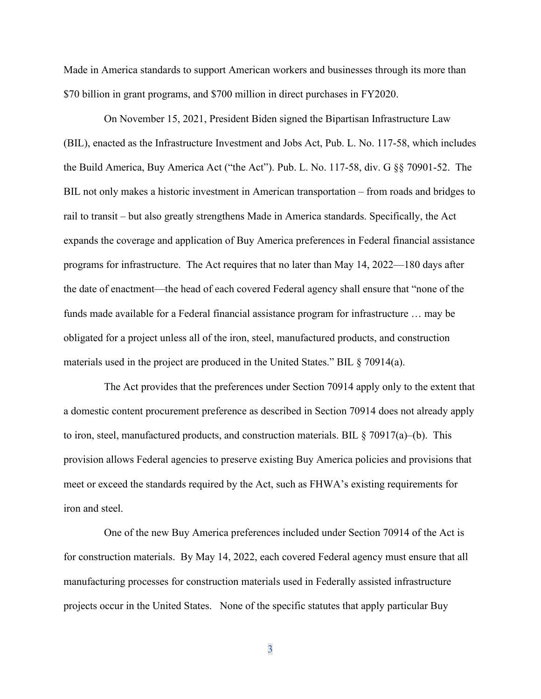Made in America standards to support American workers and businesses through its more than \$70 billion in grant programs, and \$700 million in direct purchases in FY2020.

On November 15, 2021, President Biden signed the Bipartisan Infrastructure Law (BIL), enacted as the Infrastructure Investment and Jobs Act, Pub. L. No. 117-58, which includes the Build America, Buy America Act ("the Act"). Pub. L. No. 117-58, div. G §§ 70901-52. The BIL not only makes a historic investment in American transportation – from roads and bridges to rail to transit – but also greatly strengthens Made in America standards. Specifically, the Act expands the coverage and application of Buy America preferences in Federal financial assistance programs for infrastructure. The Act requires that no later than May 14, 2022—180 days after the date of enactment—the head of each covered Federal agency shall ensure that "none of the funds made available for a Federal financial assistance program for infrastructure … may be obligated for a project unless all of the iron, steel, manufactured products, and construction materials used in the project are produced in the United States." BIL § 70914(a).

 The Act provides that the preferences under Section 70914 apply only to the extent that a domestic content procurement preference as described in Section 70914 does not already apply to iron, steel, manufactured products, and construction materials. BIL  $\S$  70917(a)–(b). This provision allows Federal agencies to preserve existing Buy America policies and provisions that meet or exceed the standards required by the Act, such as FHWA's existing requirements for iron and steel.

 One of the new Buy America preferences included under Section 70914 of the Act is for construction materials. By May 14, 2022, each covered Federal agency must ensure that all manufacturing processes for construction materials used in Federally assisted infrastructure projects occur in the United States. None of the specific statutes that apply particular Buy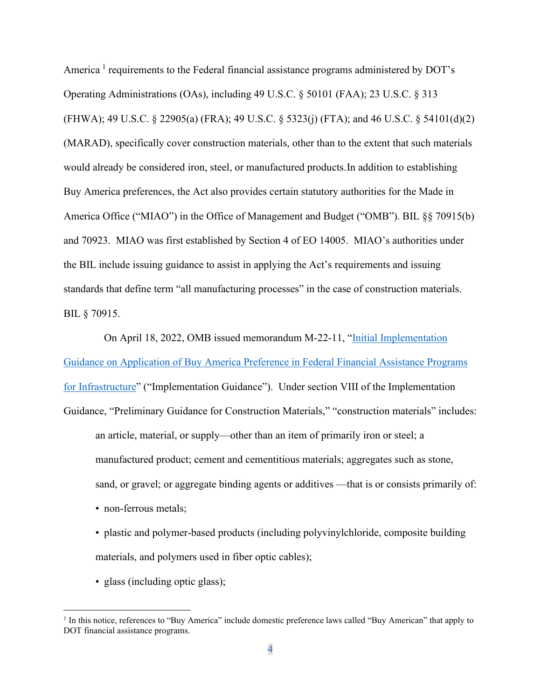America<sup>1</sup> requirements to the Federal financial assistance programs administered by DOT's Operating Administrations (OAs), including 49 U.S.C. § 50101 (FAA); 23 U.S.C. § 313 (FHWA); 49 U.S.C. § 22905(a) (FRA); 49 U.S.C. § 5323(j) (FTA); and 46 U.S.C. § 54101(d)(2) (MARAD), specifically cover construction materials, other than to the extent that such materials would already be considered iron, steel, or manufactured products.In addition to establishing Buy America preferences, the Act also provides certain statutory authorities for the Made in America Office ("MIAO") in the Office of Management and Budget ("OMB"). BIL §§ 70915(b) and 70923. MIAO was first established by Section 4 of EO 14005. MIAO's authorities under the BIL include issuing guidance to assist in applying the Act's requirements and issuing standards that define term "all manufacturing processes" in the case of construction materials. BIL § 70915.

 On April 18, 2022, OMB issued memorandum M-22-11, "Initial Implementation Guidance on Application of Buy America Preference in Federal Financial Assistance Programs for Infrastructure" ("Implementation Guidance"). Under section VIII of the Implementation Guidance, "Preliminary Guidance for Construction Materials," "construction materials" includes: an article, material, or supply—other than an item of primarily iron or steel; a manufactured product; cement and cementitious materials; aggregates such as stone, sand, or gravel; or aggregate binding agents or additives —that is or consists primarily of:

- non-ferrous metals;
- plastic and polymer-based products (including polyvinylchloride, composite building materials, and polymers used in fiber optic cables);
- glass (including optic glass);

<sup>&</sup>lt;sup>1</sup> In this notice, references to "Buy America" include domestic preference laws called "Buy American" that apply to DOT financial assistance programs.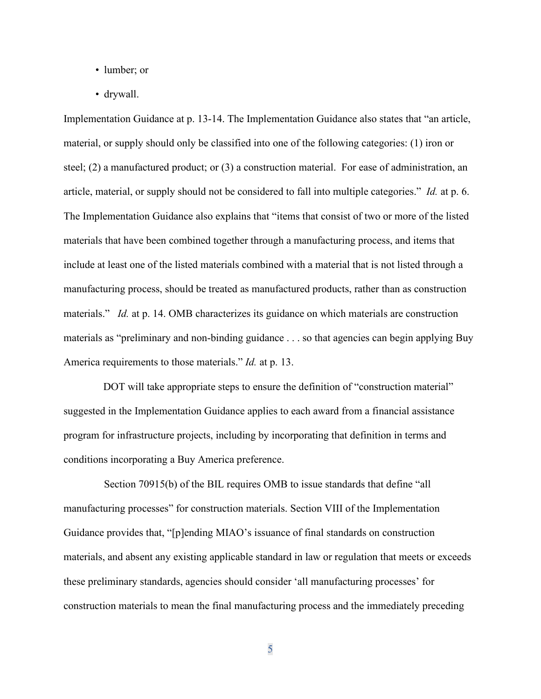- lumber; or
- drywall.

Implementation Guidance at p. 13-14. The Implementation Guidance also states that "an article, material, or supply should only be classified into one of the following categories: (1) iron or steel; (2) a manufactured product; or (3) a construction material. For ease of administration, an article, material, or supply should not be considered to fall into multiple categories." *Id.* at p. 6. The Implementation Guidance also explains that "items that consist of two or more of the listed materials that have been combined together through a manufacturing process, and items that include at least one of the listed materials combined with a material that is not listed through a manufacturing process, should be treated as manufactured products, rather than as construction materials." *Id.* at p. 14. OMB characterizes its guidance on which materials are construction materials as "preliminary and non-binding guidance . . . so that agencies can begin applying Buy America requirements to those materials." *Id.* at p. 13.

DOT will take appropriate steps to ensure the definition of "construction material" suggested in the Implementation Guidance applies to each award from a financial assistance program for infrastructure projects, including by incorporating that definition in terms and conditions incorporating a Buy America preference.

Section 70915(b) of the BIL requires OMB to issue standards that define "all manufacturing processes" for construction materials. Section VIII of the Implementation Guidance provides that, "[p]ending MIAO's issuance of final standards on construction materials, and absent any existing applicable standard in law or regulation that meets or exceeds these preliminary standards, agencies should consider 'all manufacturing processes' for construction materials to mean the final manufacturing process and the immediately preceding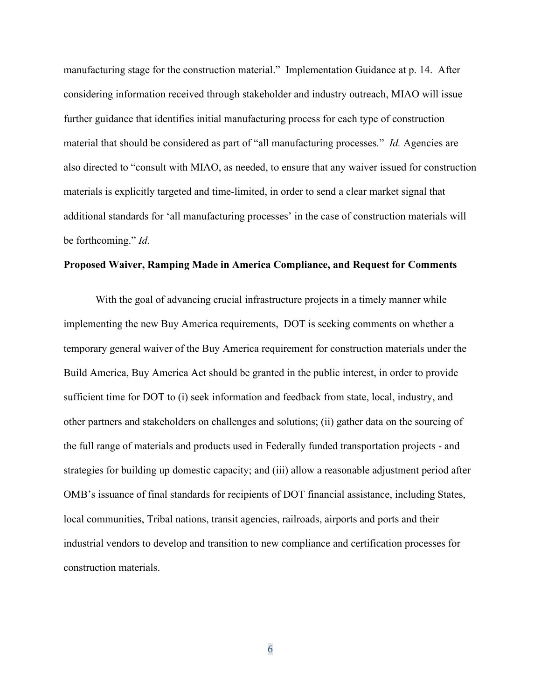manufacturing stage for the construction material." Implementation Guidance at p. 14. After considering information received through stakeholder and industry outreach, MIAO will issue further guidance that identifies initial manufacturing process for each type of construction material that should be considered as part of "all manufacturing processes." *Id.* Agencies are also directed to "consult with MIAO, as needed, to ensure that any waiver issued for construction materials is explicitly targeted and time-limited, in order to send a clear market signal that additional standards for 'all manufacturing processes' in the case of construction materials will be forthcoming." *Id*.

# **Proposed Waiver, Ramping Made in America Compliance, and Request for Comments**

With the goal of advancing crucial infrastructure projects in a timely manner while implementing the new Buy America requirements, DOT is seeking comments on whether a temporary general waiver of the Buy America requirement for construction materials under the Build America, Buy America Act should be granted in the public interest, in order to provide sufficient time for DOT to (i) seek information and feedback from state, local, industry, and other partners and stakeholders on challenges and solutions; (ii) gather data on the sourcing of the full range of materials and products used in Federally funded transportation projects - and strategies for building up domestic capacity; and (iii) allow a reasonable adjustment period after OMB's issuance of final standards for recipients of DOT financial assistance, including States, local communities, Tribal nations, transit agencies, railroads, airports and ports and their industrial vendors to develop and transition to new compliance and certification processes for construction materials.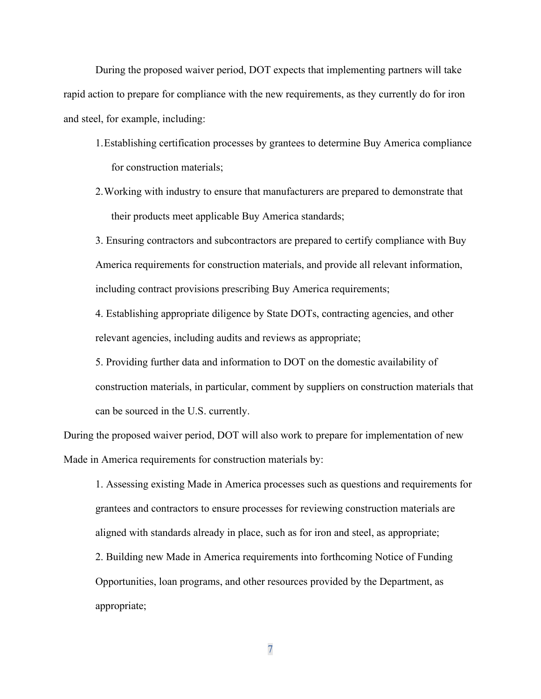During the proposed waiver period, DOT expects that implementing partners will take rapid action to prepare for compliance with the new requirements, as they currently do for iron and steel, for example, including:

- 1.Establishing certification processes by grantees to determine Buy America compliance for construction materials;
- 2.Working with industry to ensure that manufacturers are prepared to demonstrate that their products meet applicable Buy America standards;

3. Ensuring contractors and subcontractors are prepared to certify compliance with Buy America requirements for construction materials, and provide all relevant information, including contract provisions prescribing Buy America requirements;

4. Establishing appropriate diligence by State DOTs, contracting agencies, and other relevant agencies, including audits and reviews as appropriate;

5. Providing further data and information to DOT on the domestic availability of construction materials, in particular, comment by suppliers on construction materials that can be sourced in the U.S. currently.

During the proposed waiver period, DOT will also work to prepare for implementation of new Made in America requirements for construction materials by:

1. Assessing existing Made in America processes such as questions and requirements for grantees and contractors to ensure processes for reviewing construction materials are aligned with standards already in place, such as for iron and steel, as appropriate; 2. Building new Made in America requirements into forthcoming Notice of Funding Opportunities, loan programs, and other resources provided by the Department, as appropriate;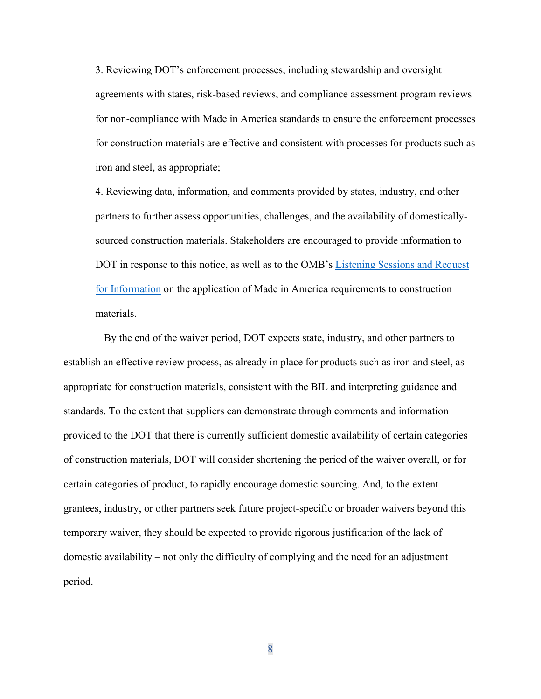3. Reviewing DOT's enforcement processes, including stewardship and oversight agreements with states, risk-based reviews, and compliance assessment program reviews for non-compliance with Made in America standards to ensure the enforcement processes for construction materials are effective and consistent with processes for products such as iron and steel, as appropriate;

4. Reviewing data, information, and comments provided by states, industry, and other partners to further assess opportunities, challenges, and the availability of domesticallysourced construction materials. Stakeholders are encouraged to provide information to DOT in response to this notice, as well as to the OMB's Listening Sessions and Request for Information on the application of Made in America requirements to construction materials.

 By the end of the waiver period, DOT expects state, industry, and other partners to establish an effective review process, as already in place for products such as iron and steel, as appropriate for construction materials, consistent with the BIL and interpreting guidance and standards. To the extent that suppliers can demonstrate through comments and information provided to the DOT that there is currently sufficient domestic availability of certain categories of construction materials, DOT will consider shortening the period of the waiver overall, or for certain categories of product, to rapidly encourage domestic sourcing. And, to the extent grantees, industry, or other partners seek future project-specific or broader waivers beyond this temporary waiver, they should be expected to provide rigorous justification of the lack of domestic availability – not only the difficulty of complying and the need for an adjustment period.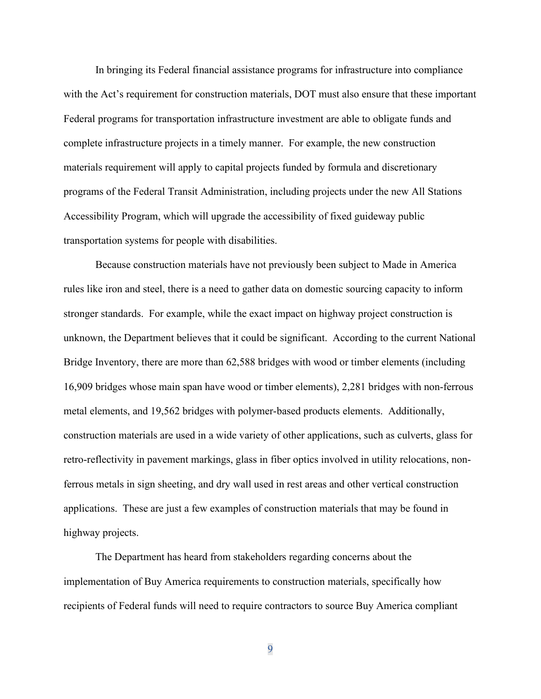In bringing its Federal financial assistance programs for infrastructure into compliance with the Act's requirement for construction materials, DOT must also ensure that these important Federal programs for transportation infrastructure investment are able to obligate funds and complete infrastructure projects in a timely manner. For example, the new construction materials requirement will apply to capital projects funded by formula and discretionary programs of the Federal Transit Administration, including projects under the new All Stations Accessibility Program, which will upgrade the accessibility of fixed guideway public transportation systems for people with disabilities.

Because construction materials have not previously been subject to Made in America rules like iron and steel, there is a need to gather data on domestic sourcing capacity to inform stronger standards. For example, while the exact impact on highway project construction is unknown, the Department believes that it could be significant. According to the current National Bridge Inventory, there are more than 62,588 bridges with wood or timber elements (including 16,909 bridges whose main span have wood or timber elements), 2,281 bridges with non-ferrous metal elements, and 19,562 bridges with polymer-based products elements. Additionally, construction materials are used in a wide variety of other applications, such as culverts, glass for retro-reflectivity in pavement markings, glass in fiber optics involved in utility relocations, nonferrous metals in sign sheeting, and dry wall used in rest areas and other vertical construction applications. These are just a few examples of construction materials that may be found in highway projects.

The Department has heard from stakeholders regarding concerns about the implementation of Buy America requirements to construction materials, specifically how recipients of Federal funds will need to require contractors to source Buy America compliant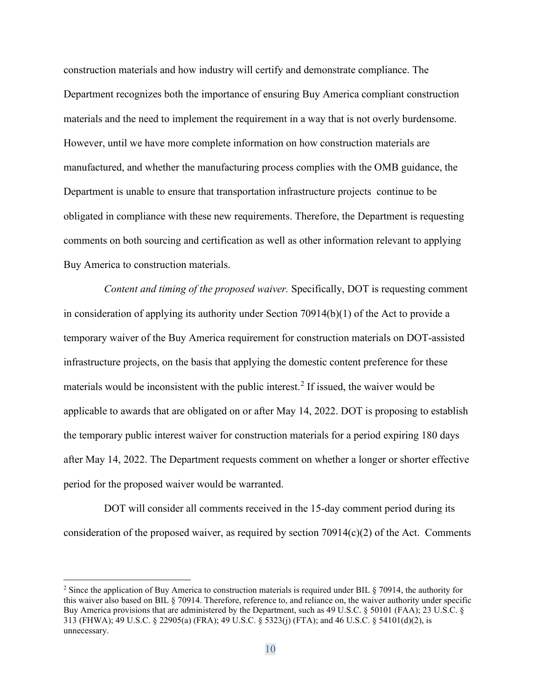construction materials and how industry will certify and demonstrate compliance. The Department recognizes both the importance of ensuring Buy America compliant construction materials and the need to implement the requirement in a way that is not overly burdensome. However, until we have more complete information on how construction materials are manufactured, and whether the manufacturing process complies with the OMB guidance, the Department is unable to ensure that transportation infrastructure projects continue to be obligated in compliance with these new requirements. Therefore, the Department is requesting comments on both sourcing and certification as well as other information relevant to applying Buy America to construction materials.

*Content and timing of the proposed waiver.* Specifically, DOT is requesting comment in consideration of applying its authority under Section 70914(b)(1) of the Act to provide a temporary waiver of the Buy America requirement for construction materials on DOT-assisted infrastructure projects, on the basis that applying the domestic content preference for these materials would be inconsistent with the public interest.<sup>2</sup> If issued, the waiver would be applicable to awards that are obligated on or after May 14, 2022. DOT is proposing to establish the temporary public interest waiver for construction materials for a period expiring 180 days after May 14, 2022. The Department requests comment on whether a longer or shorter effective period for the proposed waiver would be warranted.

DOT will consider all comments received in the 15-day comment period during its consideration of the proposed waiver, as required by section  $70914(c)(2)$  of the Act. Comments

<sup>&</sup>lt;sup>2</sup> Since the application of Buy America to construction materials is required under BIL § 70914, the authority for this waiver also based on BIL § 70914. Therefore, reference to, and reliance on, the waiver authority under specific Buy America provisions that are administered by the Department, such as 49 U.S.C. § 50101 (FAA); 23 U.S.C. § 313 (FHWA); 49 U.S.C. § 22905(a) (FRA); 49 U.S.C. § 5323(j) (FTA); and 46 U.S.C. § 54101(d)(2), is unnecessary.